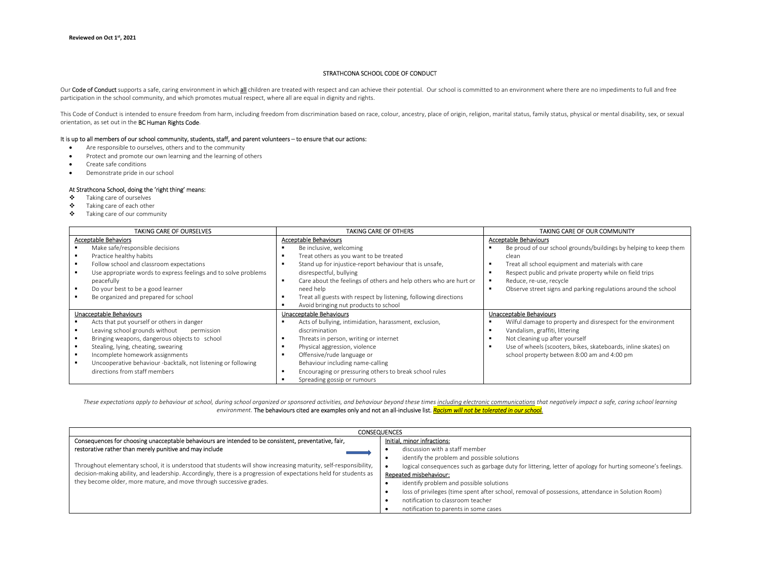# STRATHCONA SCHOOL CODE OF CONDUCT

Our Code of Conduct supports a safe, caring environment in which all children are treated with respect and can achieve their potential. Our school is committed to an environment where there are no impediments to full and f participation in the school community, and which promotes mutual respect, where all are equal in dignity and rights.

This Code of Conduct is intended to ensure freedom from harm, including freedom from discrimination based on race, colour, ancestry, place of origin, religion, marital status, family status, physical or mental disability, orientation, as set out in the BC Human Rights Code.

### It is up to all members of our school community, students, staff, and parent volunteers – to ensure that our actions:

- Are responsible to ourselves, others and to the community
- Protect and promote our own learning and the learning of others
- Create safe conditions
- Demonstrate pride in our school

#### At Strathcona School, doing the 'right thing' means:

- Taking care of ourselves
- Taking care of each other
- Taking care of our community

| <b>TAKING CARE OF OURSELVES</b>                                 | <b>TAKING CARE OF OTHERS</b>                                      | TAKING CARE OF OUR COMMUNITY                                     |
|-----------------------------------------------------------------|-------------------------------------------------------------------|------------------------------------------------------------------|
| <b>Acceptable Behaviors</b>                                     | Acceptable Behaviours                                             | <b>Acceptable Behaviours</b>                                     |
| Make safe/responsible decisions                                 | Be inclusive, welcoming                                           | Be proud of our school grounds/buildings by helping to keep them |
| Practice healthy habits                                         | Treat others as you want to be treated                            | clean                                                            |
| Follow school and classroom expectations                        | Stand up for injustice-report behaviour that is unsafe,           | Treat all school equipment and materials with care               |
| Use appropriate words to express feelings and to solve problems | disrespectful, bullying                                           | Respect public and private property while on field trips         |
| peacefully                                                      | Care about the feelings of others and help others who are hurt or | Reduce, re-use, recycle                                          |
| Do your best to be a good learner                               | need help                                                         | Observe street signs and parking regulations around the school   |
| Be organized and prepared for school                            | Treat all guests with respect by listening, following directions  |                                                                  |
|                                                                 | Avoid bringing nut products to school                             |                                                                  |
| Unacceptable Behaviours                                         | Unacceptable Behaviours                                           | Unacceptable Behaviours                                          |
| Acts that put yourself or others in danger                      | Acts of bullying, intimidation, harassment, exclusion,            | Wilful damage to property and disrespect for the environment     |
| Leaving school grounds without<br>permission                    | discrimination                                                    | Vandalism, graffiti, littering                                   |
| Bringing weapons, dangerous objects to school                   | Threats in person, writing or internet                            | Not cleaning up after yourself                                   |
| Stealing, lying, cheating, swearing                             | Physical aggression, violence                                     | Use of wheels (scooters, bikes, skateboards, inline skates) on   |
| Incomplete homework assignments                                 | Offensive/rude language or                                        | school property between 8:00 am and 4:00 pm                      |
| Uncooperative behaviour -backtalk, not listening or following   | Behaviour including name-calling                                  |                                                                  |
| directions from staff members                                   | Encouraging or pressuring others to break school rules            |                                                                  |
|                                                                 | Spreading gossip or rumours                                       |                                                                  |

These expectations apply to behaviour at school, during school organized or sponsored activities, and behaviour beyond these times including electronic communications that negatively impact a safe, caring school learning environment. The behaviours cited are examples only and not an all-inclusive list. Racism will not be tolerated in our school.

| <b>CONSEQUENCES</b>                                                                                                                                                                                                                                                                                          |                                                                                                            |  |
|--------------------------------------------------------------------------------------------------------------------------------------------------------------------------------------------------------------------------------------------------------------------------------------------------------------|------------------------------------------------------------------------------------------------------------|--|
| Consequences for choosing unacceptable behaviours are intended to be consistent, preventative, fair,                                                                                                                                                                                                         | Initial, minor infractions:                                                                                |  |
| restorative rather than merely punitive and may include                                                                                                                                                                                                                                                      | discussion with a staff member                                                                             |  |
| Throughout elementary school, it is understood that students will show increasing maturity, self-responsibility,<br>decision-making ability, and leadership. Accordingly, there is a progression of expectations held for students as<br>they become older, more mature, and move through successive grades. | identify the problem and possible solutions                                                                |  |
|                                                                                                                                                                                                                                                                                                              | logical consequences such as garbage duty for littering, letter of apology for hurting someone's feelings. |  |
|                                                                                                                                                                                                                                                                                                              | Repeated misbehaviour:                                                                                     |  |
|                                                                                                                                                                                                                                                                                                              | identify problem and possible solutions                                                                    |  |
|                                                                                                                                                                                                                                                                                                              | loss of privileges (time spent after school, removal of possessions, attendance in Solution Room)          |  |
|                                                                                                                                                                                                                                                                                                              | notification to classroom teacher                                                                          |  |
|                                                                                                                                                                                                                                                                                                              | notification to parents in some cases                                                                      |  |